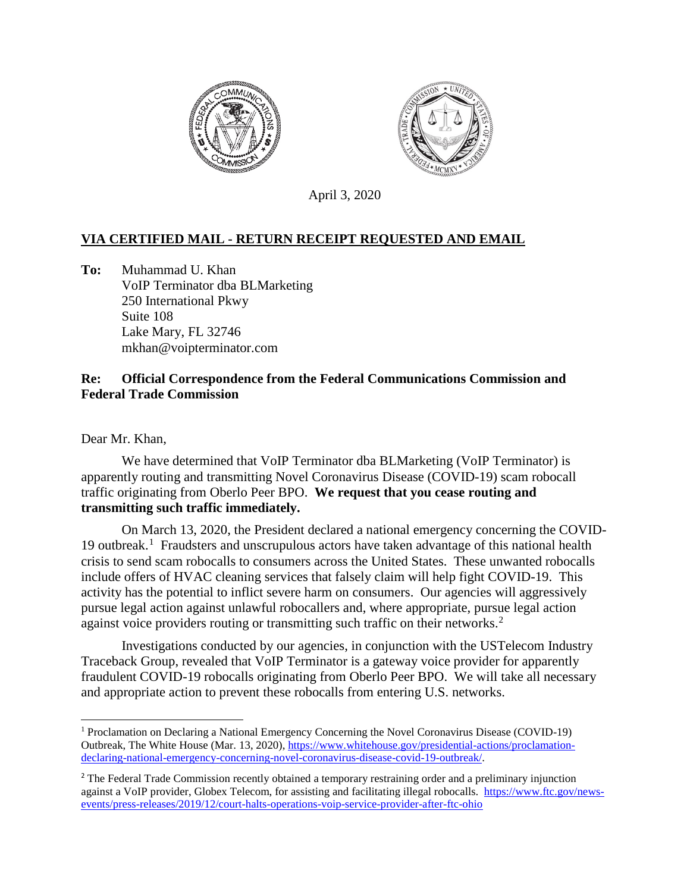



April 3, 2020

## **VIA CERTIFIED MAIL - RETURN RECEIPT REQUESTED AND EMAIL**

**To:** Muhammad U. Khan VoIP Terminator dba BLMarketing 250 International Pkwy Suite 108 Lake Mary, FL 32746 mkhan@voipterminator.com

## **Re: Official Correspondence from the Federal Communications Commission and Federal Trade Commission**

Dear Mr. Khan,

We have determined that VoIP Terminator dba BLMarketing (VoIP Terminator) is apparently routing and transmitting Novel Coronavirus Disease (COVID-19) scam robocall traffic originating from Oberlo Peer BPO. **We request that you cease routing and transmitting such traffic immediately.**

On March 13, 2020, the President declared a national emergency concerning the COVID-[1](#page-0-0)9 outbreak.<sup>1</sup> Fraudsters and unscrupulous actors have taken advantage of this national health crisis to send scam robocalls to consumers across the United States. These unwanted robocalls include offers of HVAC cleaning services that falsely claim will help fight COVID-19. This activity has the potential to inflict severe harm on consumers. Our agencies will aggressively pursue legal action against unlawful robocallers and, where appropriate, pursue legal action against voice providers routing or transmitting such traffic on their networks.<sup>[2](#page-0-1)</sup>

Investigations conducted by our agencies, in conjunction with the USTelecom Industry Traceback Group, revealed that VoIP Terminator is a gateway voice provider for apparently fraudulent COVID-19 robocalls originating from Oberlo Peer BPO. We will take all necessary and appropriate action to prevent these robocalls from entering U.S. networks.

<span id="page-0-0"></span><sup>1</sup> Proclamation on Declaring a National Emergency Concerning the Novel Coronavirus Disease (COVID-19) Outbreak, The White House (Mar. 13, 2020)[, https://www.whitehouse.gov/presidential-actions/proclamation](https://www.whitehouse.gov/presidential-actions/proclamation-declaring-national-emergency-concerning-novel-coronavirus-disease-covid-19-outbreak/)[declaring-national-emergency-concerning-novel-coronavirus-disease-covid-19-outbreak/.](https://www.whitehouse.gov/presidential-actions/proclamation-declaring-national-emergency-concerning-novel-coronavirus-disease-covid-19-outbreak/)

<span id="page-0-1"></span><sup>&</sup>lt;sup>2</sup> The Federal Trade Commission recently obtained a temporary restraining order and a preliminary injunction against a VoIP provider, Globex Telecom, for assisting and facilitating illegal robocalls. [https://www.ftc.gov/news](https://www.ftc.gov/news-events/press-releases/2019/12/court-halts-operations-voip-service-provider-after-ftc-ohio)[events/press-releases/2019/12/court-halts-operations-voip-service-provider-after-ftc-ohio](https://www.ftc.gov/news-events/press-releases/2019/12/court-halts-operations-voip-service-provider-after-ftc-ohio)